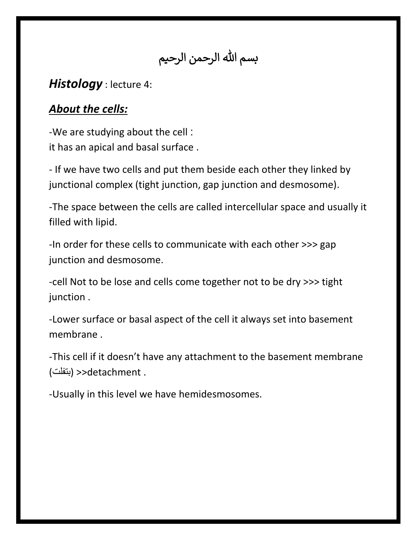بسم الله الرحمن الرحيم

## *Histology* : lecture 4:

## *About the cells:*

-We are studying about the cell : it has an apical and basal surface .

- If we have two cells and put them beside each other they linked by junctional complex (tight junction, gap junction and desmosome).

-The space between the cells are called intercellular space and usually it filled with lipid.

-In order for these cells to communicate with each other >>> gap junction and desmosome.

-cell Not to be lose and cells come together not to be dry >>> tight junction .

-Lower surface or basal aspect of the cell it always set into basement membrane .

-This cell if it doesn't have any attachment to the basement membrane . detachment) >>بتفلت)

-Usually in this level we have hemidesmosomes.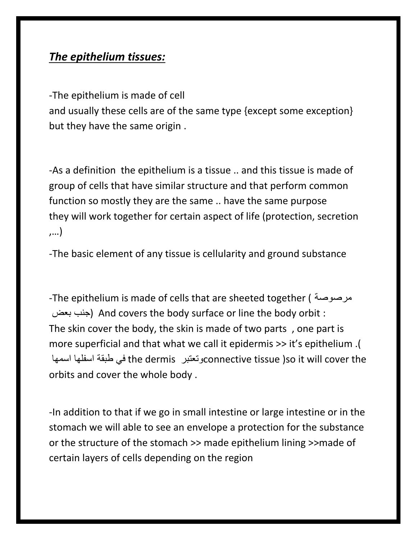## *The epithelium tissues:*

-The epithelium is made of cell

and usually these cells are of the same type {except some exception} but they have the same origin .

-As a definition the epithelium is a tissue .. and this tissue is made of group of cells that have similar structure and that perform common function so mostly they are the same .. have the same purpose they will work together for certain aspect of life (protection, secretion ,…)

-The basic element of any tissue is cellularity and ground substance

-The epithelium is made of cells that are sheeted together ( مرصوصة بعض جنب (And covers the body surface or line the body orbit : The skin cover the body, the skin is made of two parts , one part is more superficial and that what we call it epidermis >> it's epithelium .( اسمها اسفلها طبقة في the dermis وتعتبرconnective tissue )so it will cover the orbits and cover the whole body .

-In addition to that if we go in small intestine or large intestine or in the stomach we will able to see an envelope a protection for the substance or the structure of the stomach >> made epithelium lining >>made of certain layers of cells depending on the region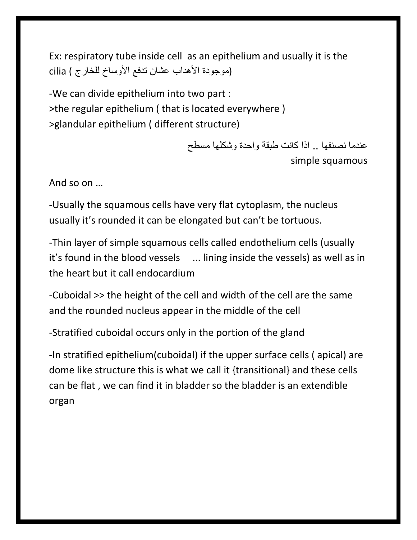Ex: respiratory tube inside cell as an epithelium and usually it is the (موجودة األهداب عشان تدفع األوساخ للخارج ) cilia

-We can divide epithelium into two part : >the regular epithelium ( that is located everywhere ) >glandular epithelium ( different structure)

> عندما نصنفها .. اذا كانت طبقة واحدة وشكلها مسطح simple squamous

And so on …

-Usually the squamous cells have very flat cytoplasm, the nucleus usually it's rounded it can be elongated but can't be tortuous.

-Thin layer of simple squamous cells called endothelium cells (usually it's found in the blood vessels ... lining inside the vessels) as well as in the heart but it call endocardium

-Cuboidal >> the height of the cell and width of the cell are the same and the rounded nucleus appear in the middle of the cell

-Stratified cuboidal occurs only in the portion of the gland

-In stratified epithelium(cuboidal) if the upper surface cells ( apical) are dome like structure this is what we call it {transitional} and these cells can be flat , we can find it in bladder so the bladder is an extendible organ